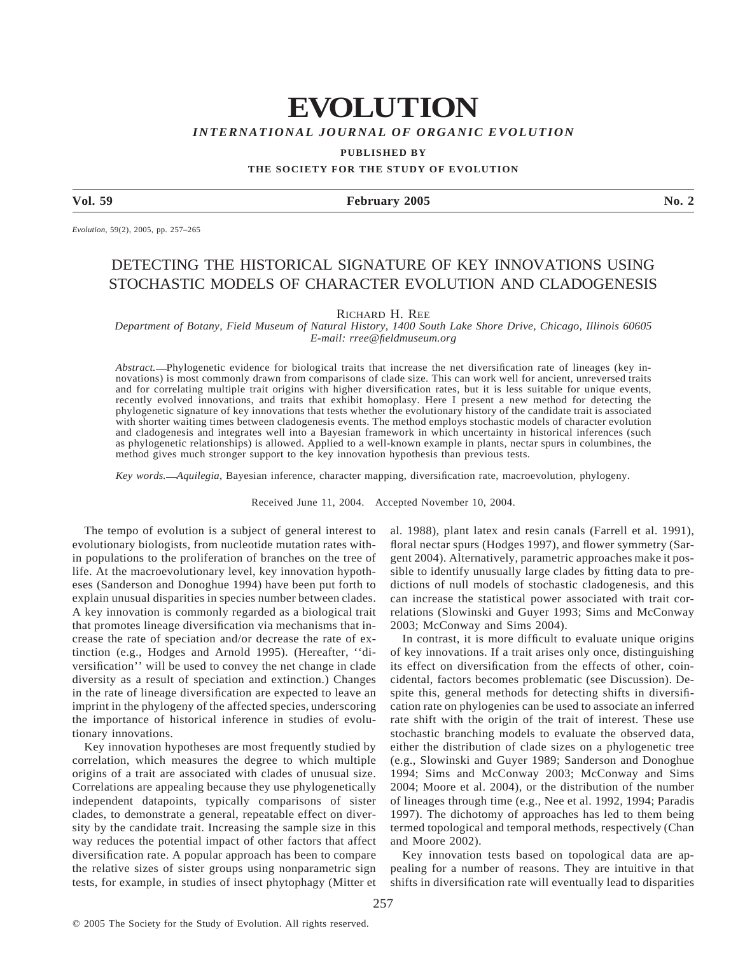# **EVOLUTION** *INTERNATIONAL JOURNAL OF ORGANIC EVOLUTION*

**PUBLISHED BY**

**THE SOCIETY FOR THE STUDY OF EVOLUTION**

**Vol. 59 February 2005 No. 2**

*Evolution,* 59(2), 2005, pp. 257–265

# DETECTING THE HISTORICAL SIGNATURE OF KEY INNOVATIONS USING STOCHASTIC MODELS OF CHARACTER EVOLUTION AND CLADOGENESIS

## RICHARD H. REE

*Department of Botany, Field Museum of Natural History, 1400 South Lake Shore Drive, Chicago, Illinois 60605 E-mail: rree@fieldmuseum.org*

*Abstract.* Phylogenetic evidence for biological traits that increase the net diversification rate of lineages (key innovations) is most commonly drawn from comparisons of clade size. This can work well for ancient, unreversed traits and for correlating multiple trait origins with higher diversification rates, but it is less suitable for unique events, recently evolved innovations, and traits that exhibit homoplasy. Here I present a new method for detecting the phylogenetic signature of key innovations that tests whether the evolutionary history of the candidate trait is associated with shorter waiting times between cladogenesis events. The method employs stochastic models of character evolution and cladogenesis and integrates well into a Bayesian framework in which uncertainty in historical inferences (such as phylogenetic relationships) is allowed. Applied to a well-known example in plants, nectar spurs in columbines, the method gives much stronger support to the key innovation hypothesis than previous tests.

*Key words. Aquilegia*, Bayesian inference, character mapping, diversification rate, macroevolution, phylogeny.

Received June 11, 2004. Accepted November 10, 2004.

The tempo of evolution is a subject of general interest to evolutionary biologists, from nucleotide mutation rates within populations to the proliferation of branches on the tree of life. At the macroevolutionary level, key innovation hypotheses (Sanderson and Donoghue 1994) have been put forth to explain unusual disparities in species number between clades. A key innovation is commonly regarded as a biological trait that promotes lineage diversification via mechanisms that increase the rate of speciation and/or decrease the rate of extinction (e.g., Hodges and Arnold 1995). (Hereafter, ''diversification'' will be used to convey the net change in clade diversity as a result of speciation and extinction.) Changes in the rate of lineage diversification are expected to leave an imprint in the phylogeny of the affected species, underscoring the importance of historical inference in studies of evolutionary innovations.

Key innovation hypotheses are most frequently studied by correlation, which measures the degree to which multiple origins of a trait are associated with clades of unusual size. Correlations are appealing because they use phylogenetically independent datapoints, typically comparisons of sister clades, to demonstrate a general, repeatable effect on diversity by the candidate trait. Increasing the sample size in this way reduces the potential impact of other factors that affect diversification rate. A popular approach has been to compare the relative sizes of sister groups using nonparametric sign tests, for example, in studies of insect phytophagy (Mitter et al. 1988), plant latex and resin canals (Farrell et al. 1991), floral nectar spurs (Hodges 1997), and flower symmetry (Sargent 2004). Alternatively, parametric approaches make it possible to identify unusually large clades by fitting data to predictions of null models of stochastic cladogenesis, and this can increase the statistical power associated with trait correlations (Slowinski and Guyer 1993; Sims and McConway 2003; McConway and Sims 2004).

In contrast, it is more difficult to evaluate unique origins of key innovations. If a trait arises only once, distinguishing its effect on diversification from the effects of other, coincidental, factors becomes problematic (see Discussion). Despite this, general methods for detecting shifts in diversification rate on phylogenies can be used to associate an inferred rate shift with the origin of the trait of interest. These use stochastic branching models to evaluate the observed data, either the distribution of clade sizes on a phylogenetic tree (e.g., Slowinski and Guyer 1989; Sanderson and Donoghue 1994; Sims and McConway 2003; McConway and Sims 2004; Moore et al. 2004), or the distribution of the number of lineages through time (e.g., Nee et al. 1992, 1994; Paradis 1997). The dichotomy of approaches has led to them being termed topological and temporal methods, respectively (Chan and Moore 2002).

Key innovation tests based on topological data are appealing for a number of reasons. They are intuitive in that shifts in diversification rate will eventually lead to disparities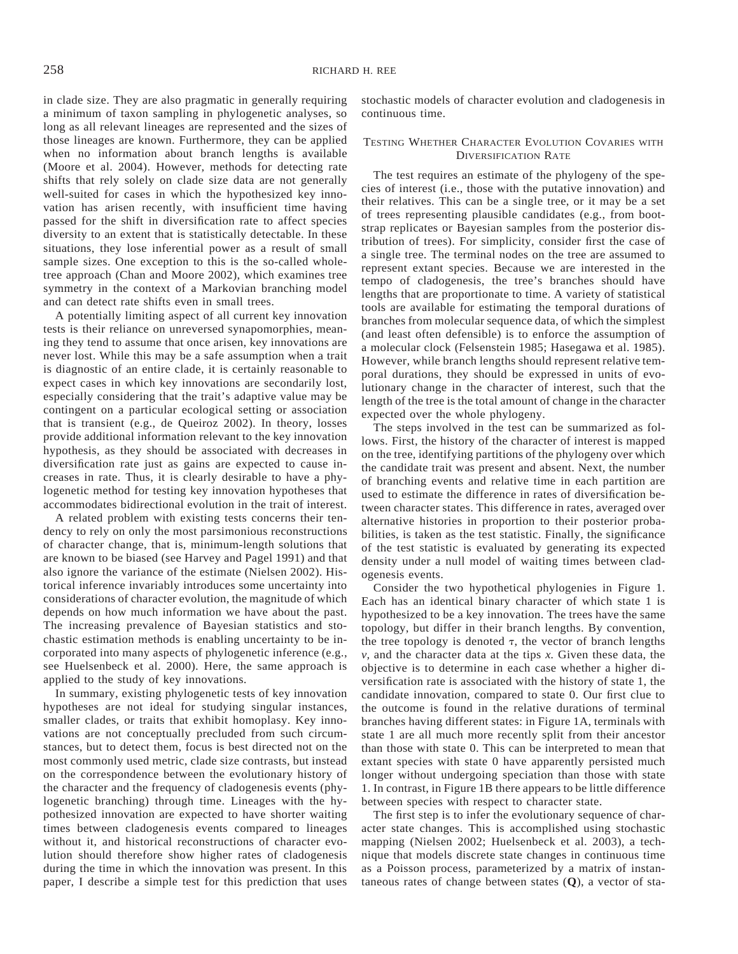in clade size. They are also pragmatic in generally requiring a minimum of taxon sampling in phylogenetic analyses, so long as all relevant lineages are represented and the sizes of those lineages are known. Furthermore, they can be applied when no information about branch lengths is available (Moore et al. 2004). However, methods for detecting rate shifts that rely solely on clade size data are not generally well-suited for cases in which the hypothesized key innovation has arisen recently, with insufficient time having passed for the shift in diversification rate to affect species diversity to an extent that is statistically detectable. In these situations, they lose inferential power as a result of small sample sizes. One exception to this is the so-called wholetree approach (Chan and Moore 2002), which examines tree symmetry in the context of a Markovian branching model and can detect rate shifts even in small trees.

A potentially limiting aspect of all current key innovation tests is their reliance on unreversed synapomorphies, meaning they tend to assume that once arisen, key innovations are never lost. While this may be a safe assumption when a trait is diagnostic of an entire clade, it is certainly reasonable to expect cases in which key innovations are secondarily lost, especially considering that the trait's adaptive value may be contingent on a particular ecological setting or association that is transient (e.g., de Queiroz 2002). In theory, losses provide additional information relevant to the key innovation hypothesis, as they should be associated with decreases in diversification rate just as gains are expected to cause increases in rate. Thus, it is clearly desirable to have a phylogenetic method for testing key innovation hypotheses that accommodates bidirectional evolution in the trait of interest.

A related problem with existing tests concerns their tendency to rely on only the most parsimonious reconstructions of character change, that is, minimum-length solutions that are known to be biased (see Harvey and Pagel 1991) and that also ignore the variance of the estimate (Nielsen 2002). Historical inference invariably introduces some uncertainty into considerations of character evolution, the magnitude of which depends on how much information we have about the past. The increasing prevalence of Bayesian statistics and stochastic estimation methods is enabling uncertainty to be incorporated into many aspects of phylogenetic inference (e.g., see Huelsenbeck et al. 2000). Here, the same approach is applied to the study of key innovations.

In summary, existing phylogenetic tests of key innovation hypotheses are not ideal for studying singular instances, smaller clades, or traits that exhibit homoplasy. Key innovations are not conceptually precluded from such circumstances, but to detect them, focus is best directed not on the most commonly used metric, clade size contrasts, but instead on the correspondence between the evolutionary history of the character and the frequency of cladogenesis events (phylogenetic branching) through time. Lineages with the hypothesized innovation are expected to have shorter waiting times between cladogenesis events compared to lineages without it, and historical reconstructions of character evolution should therefore show higher rates of cladogenesis during the time in which the innovation was present. In this paper, I describe a simple test for this prediction that uses stochastic models of character evolution and cladogenesis in continuous time.

# TESTING WHETHER CHARACTER EVOLUTION COVARIES WITH DIVERSIFICATION RATE

The test requires an estimate of the phylogeny of the species of interest (i.e., those with the putative innovation) and their relatives. This can be a single tree, or it may be a set of trees representing plausible candidates (e.g., from bootstrap replicates or Bayesian samples from the posterior distribution of trees). For simplicity, consider first the case of a single tree. The terminal nodes on the tree are assumed to represent extant species. Because we are interested in the tempo of cladogenesis, the tree's branches should have lengths that are proportionate to time. A variety of statistical tools are available for estimating the temporal durations of branches from molecular sequence data, of which the simplest (and least often defensible) is to enforce the assumption of a molecular clock (Felsenstein 1985; Hasegawa et al. 1985). However, while branch lengths should represent relative temporal durations, they should be expressed in units of evolutionary change in the character of interest, such that the length of the tree is the total amount of change in the character expected over the whole phylogeny.

The steps involved in the test can be summarized as follows. First, the history of the character of interest is mapped on the tree, identifying partitions of the phylogeny over which the candidate trait was present and absent. Next, the number of branching events and relative time in each partition are used to estimate the difference in rates of diversification between character states. This difference in rates, averaged over alternative histories in proportion to their posterior probabilities, is taken as the test statistic. Finally, the significance of the test statistic is evaluated by generating its expected density under a null model of waiting times between cladogenesis events.

Consider the two hypothetical phylogenies in Figure 1. Each has an identical binary character of which state 1 is hypothesized to be a key innovation. The trees have the same topology, but differ in their branch lengths. By convention, the tree topology is denoted  $\tau$ , the vector of branch lengths *v,* and the character data at the tips *x.* Given these data, the objective is to determine in each case whether a higher diversification rate is associated with the history of state 1, the candidate innovation, compared to state 0. Our first clue to the outcome is found in the relative durations of terminal branches having different states: in Figure 1A, terminals with state 1 are all much more recently split from their ancestor than those with state 0. This can be interpreted to mean that extant species with state 0 have apparently persisted much longer without undergoing speciation than those with state 1. In contrast, in Figure 1B there appears to be little difference between species with respect to character state.

The first step is to infer the evolutionary sequence of character state changes. This is accomplished using stochastic mapping (Nielsen 2002; Huelsenbeck et al. 2003), a technique that models discrete state changes in continuous time as a Poisson process, parameterized by a matrix of instantaneous rates of change between states (**Q**), a vector of sta-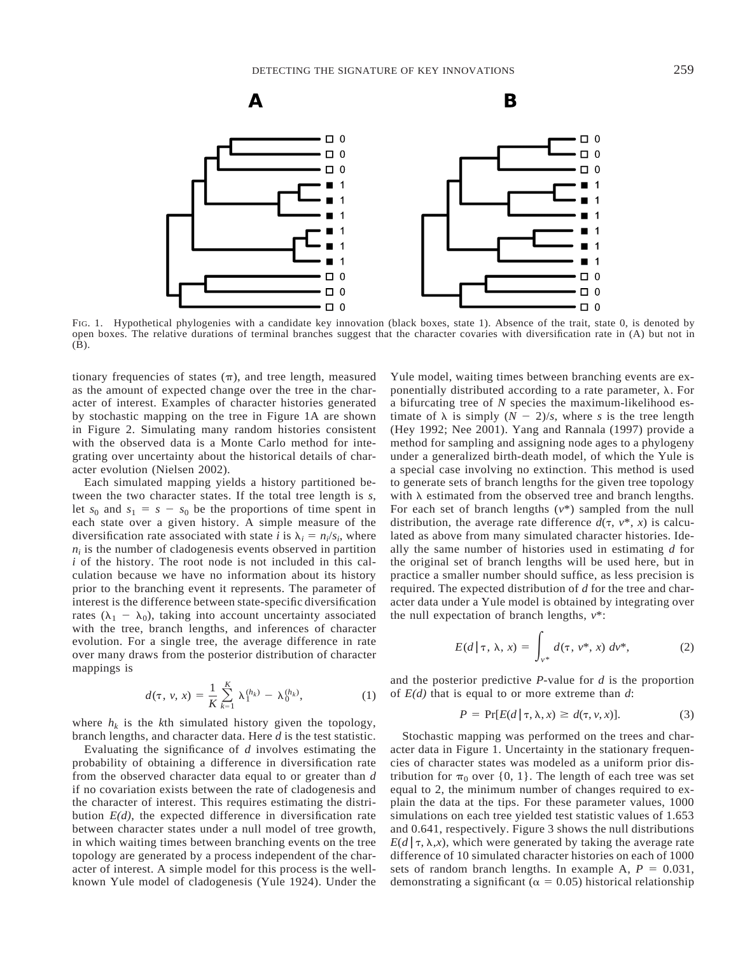

FIG. 1. Hypothetical phylogenies with a candidate key innovation (black boxes, state 1). Absence of the trait, state 0, is denoted by open boxes. The relative durations of terminal branches suggest that the character covaries with diversification rate in (A) but not in (B).

tionary frequencies of states  $(\pi)$ , and tree length, measured as the amount of expected change over the tree in the character of interest. Examples of character histories generated by stochastic mapping on the tree in Figure 1A are shown in Figure 2. Simulating many random histories consistent with the observed data is a Monte Carlo method for integrating over uncertainty about the historical details of character evolution (Nielsen 2002).

Each simulated mapping yields a history partitioned between the two character states. If the total tree length is *s*, let  $s_0$  and  $s_1 = s - s_0$  be the proportions of time spent in each state over a given history. A simple measure of the diversification rate associated with state *i* is  $\lambda_i = n_i/s_i$ , where  $n_i$  is the number of cladogenesis events observed in partition *i* of the history. The root node is not included in this calculation because we have no information about its history prior to the branching event it represents. The parameter of interest is the difference between state-specific diversification rates ( $\lambda_1$  -  $\lambda_0$ ), taking into account uncertainty associated with the tree, branch lengths, and inferences of character evolution. For a single tree, the average difference in rate over many draws from the posterior distribution of character mappings is

$$
d(\tau, \nu, x) = \frac{1}{K} \sum_{k=1}^{K} \lambda_1^{(h_k)} - \lambda_0^{(h_k)}, \qquad (1)
$$

where  $h_k$  is the  $k$ th simulated history given the topology, branch lengths, and character data. Here *d* is the test statistic.

Evaluating the significance of *d* involves estimating the probability of obtaining a difference in diversification rate from the observed character data equal to or greater than *d* if no covariation exists between the rate of cladogenesis and the character of interest. This requires estimating the distribution  $E(d)$ , the expected difference in diversification rate between character states under a null model of tree growth, in which waiting times between branching events on the tree topology are generated by a process independent of the character of interest. A simple model for this process is the wellknown Yule model of cladogenesis (Yule 1924). Under the

Yule model, waiting times between branching events are exponentially distributed according to a rate parameter,  $\lambda$ . For a bifurcating tree of *N* species the maximum-likelihood estimate of  $\lambda$  is simply  $(N - 2)/s$ , where *s* is the tree length (Hey 1992; Nee 2001). Yang and Rannala (1997) provide a method for sampling and assigning node ages to a phylogeny under a generalized birth-death model, of which the Yule is a special case involving no extinction. This method is used to generate sets of branch lengths for the given tree topology with  $\lambda$  estimated from the observed tree and branch lengths. For each set of branch lengths (*v*\*) sampled from the null distribution, the average rate difference  $d(\tau, v^*, x)$  is calculated as above from many simulated character histories. Ideally the same number of histories used in estimating *d* for the original set of branch lengths will be used here, but in practice a smaller number should suffice, as less precision is required. The expected distribution of *d* for the tree and character data under a Yule model is obtained by integrating over the null expectation of branch lengths, *v*\*:

$$
E(d \mid \tau, \lambda, x) = \int_{\nu^*} d(\tau, \nu^*, x) d\nu^*,
$$
 (2)

and the posterior predictive *P*-value for *d* is the proportion of *E(d)* that is equal to or more extreme than *d*:

$$
P = \Pr[E(d | \tau, \lambda, x) \ge d(\tau, v, x)]. \tag{3}
$$

Stochastic mapping was performed on the trees and character data in Figure 1. Uncertainty in the stationary frequencies of character states was modeled as a uniform prior distribution for  $\pi_0$  over {0, 1}. The length of each tree was set equal to 2, the minimum number of changes required to explain the data at the tips. For these parameter values, 1000 simulations on each tree yielded test statistic values of 1.653 and 0.641, respectively. Figure 3 shows the null distributions  $E(d | \tau, \lambda, x)$ , which were generated by taking the average rate difference of 10 simulated character histories on each of 1000 sets of random branch lengths. In example A,  $P = 0.031$ , demonstrating a significant ( $\alpha = 0.05$ ) historical relationship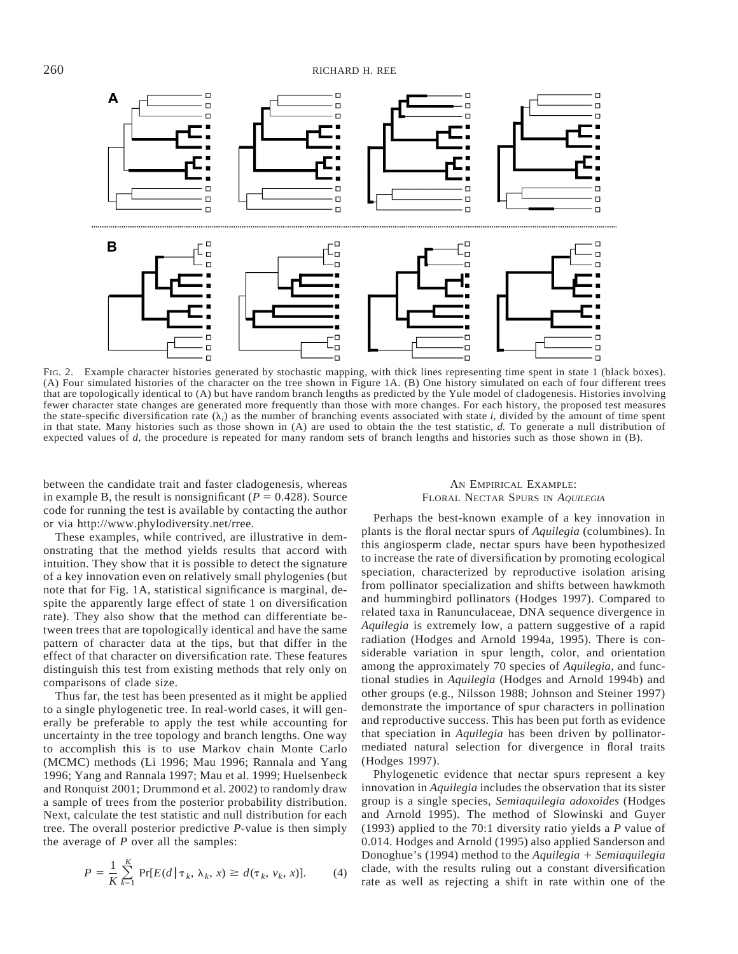260 RICHARD H. REE



FIG. 2. Example character histories generated by stochastic mapping, with thick lines representing time spent in state 1 (black boxes). (A) Four simulated histories of the character on the tree shown in Figure 1A. (B) One history simulated on each of four different trees that are topologically identical to (A) but have random branch lengths as predicted by the Yule model of cladogenesis. Histories involving fewer character state changes are generated more frequently than those with more changes. For each history, the proposed test measures the state-specific diversification rate  $(\lambda_i)$  as the number of branching events associated with state *i*, divided by the amount of time spent in that state. Many histories such as those shown in (A) are used to obtain the the test statistic, *d.* To generate a null distribution of expected values of *d*, the procedure is repeated for many random sets of branch lengths and histories such as those shown in (B).

between the candidate trait and faster cladogenesis, whereas in example B, the result is nonsignificant ( $P = 0.428$ ). Source code for running the test is available by contacting the author or via http://www.phylodiversity.net/rree.

These examples, while contrived, are illustrative in demonstrating that the method yields results that accord with intuition. They show that it is possible to detect the signature of a key innovation even on relatively small phylogenies (but note that for Fig. 1A, statistical significance is marginal, despite the apparently large effect of state 1 on diversification rate). They also show that the method can differentiate between trees that are topologically identical and have the same pattern of character data at the tips, but that differ in the effect of that character on diversification rate. These features distinguish this test from existing methods that rely only on comparisons of clade size.

Thus far, the test has been presented as it might be applied to a single phylogenetic tree. In real-world cases, it will generally be preferable to apply the test while accounting for uncertainty in the tree topology and branch lengths. One way to accomplish this is to use Markov chain Monte Carlo (MCMC) methods (Li 1996; Mau 1996; Rannala and Yang 1996; Yang and Rannala 1997; Mau et al. 1999; Huelsenbeck and Ronquist 2001; Drummond et al. 2002) to randomly draw a sample of trees from the posterior probability distribution. Next, calculate the test statistic and null distribution for each tree. The overall posterior predictive *P*-value is then simply the average of *P* over all the samples:

$$
P = \frac{1}{K} \sum_{k=1}^{K} \Pr[E(d | \tau_k, \lambda_k, x) \ge d(\tau_k, \nu_k, x)]. \tag{4}
$$

# AN EMPIRICAL EXAMPLE: FLORAL NECTAR SPURS IN *AQUILEGIA*

Perhaps the best-known example of a key innovation in plants is the floral nectar spurs of *Aquilegia* (columbines). In this angiosperm clade, nectar spurs have been hypothesized to increase the rate of diversification by promoting ecological speciation, characterized by reproductive isolation arising from pollinator specialization and shifts between hawkmoth and hummingbird pollinators (Hodges 1997). Compared to related taxa in Ranunculaceae, DNA sequence divergence in *Aquilegia* is extremely low, a pattern suggestive of a rapid radiation (Hodges and Arnold 1994a, 1995). There is considerable variation in spur length, color, and orientation among the approximately 70 species of *Aquilegia*, and functional studies in *Aquilegia* (Hodges and Arnold 1994b) and other groups (e.g., Nilsson 1988; Johnson and Steiner 1997) demonstrate the importance of spur characters in pollination and reproductive success. This has been put forth as evidence that speciation in *Aquilegia* has been driven by pollinatormediated natural selection for divergence in floral traits (Hodges 1997).

Phylogenetic evidence that nectar spurs represent a key innovation in *Aquilegia* includes the observation that its sister group is a single species, *Semiaquilegia adoxoides* (Hodges and Arnold 1995). The method of Slowinski and Guyer (1993) applied to the 70:1 diversity ratio yields a *P* value of 0.014. Hodges and Arnold (1995) also applied Sanderson and Donoghue's (1994) method to the *Aquilegia* + *Semiaquilegia* clade, with the results ruling out a constant diversification rate as well as rejecting a shift in rate within one of the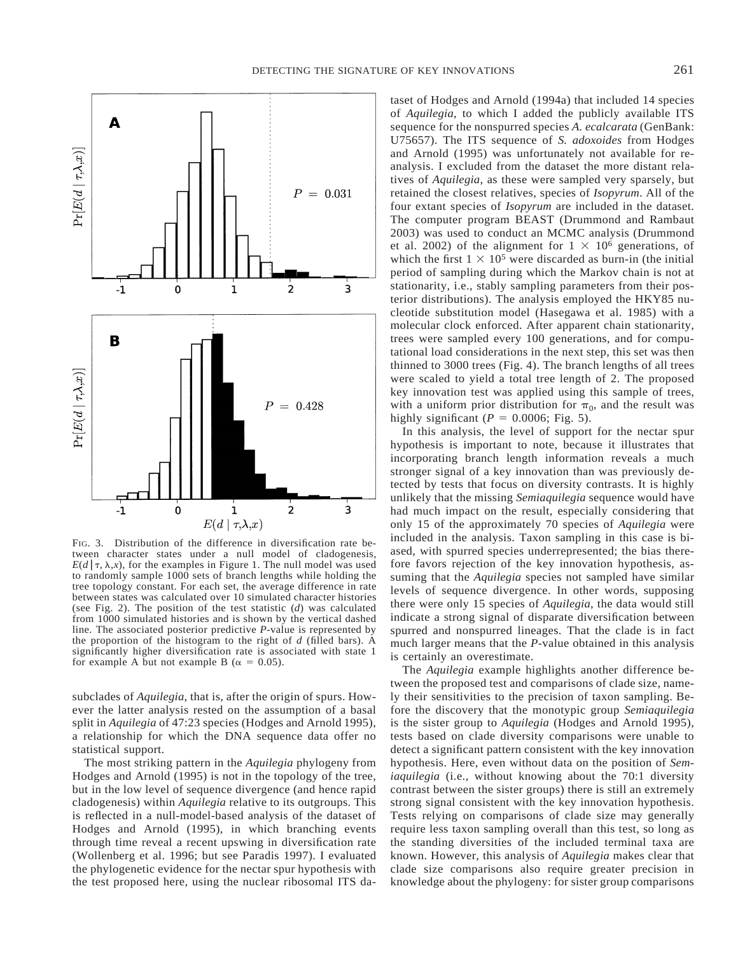

FIG. 3. Distribution of the difference in diversification rate between character states under a null model of cladogenesis,  $E(d | \tau, \lambda, x)$ , for the examples in Figure 1. The null model was used to randomly sample 1000 sets of branch lengths while holding the tree topology constant. For each set, the average difference in rate between states was calculated over 10 simulated character histories (see Fig. 2). The position of the test statistic (*d*) was calculated from 1000 simulated histories and is shown by the vertical dashed line. The associated posterior predictive *P*-value is represented by the proportion of the histogram to the right of *d* (filled bars). A significantly higher diversification rate is associated with state 1 for example A but not example B ( $\alpha = 0.05$ ).

subclades of *Aquilegia*, that is, after the origin of spurs. However the latter analysis rested on the assumption of a basal split in *Aquilegia* of 47:23 species (Hodges and Arnold 1995), a relationship for which the DNA sequence data offer no statistical support.

The most striking pattern in the *Aquilegia* phylogeny from Hodges and Arnold (1995) is not in the topology of the tree, but in the low level of sequence divergence (and hence rapid cladogenesis) within *Aquilegia* relative to its outgroups. This is reflected in a null-model-based analysis of the dataset of Hodges and Arnold (1995), in which branching events through time reveal a recent upswing in diversification rate (Wollenberg et al. 1996; but see Paradis 1997). I evaluated the phylogenetic evidence for the nectar spur hypothesis with the test proposed here, using the nuclear ribosomal ITS dataset of Hodges and Arnold (1994a) that included 14 species of *Aquilegia*, to which I added the publicly available ITS sequence for the nonspurred species *A. ecalcarata* (GenBank: U75657). The ITS sequence of *S. adoxoides* from Hodges and Arnold (1995) was unfortunately not available for reanalysis. I excluded from the dataset the more distant relatives of *Aquilegia*, as these were sampled very sparsely, but retained the closest relatives, species of *Isopyrum*. All of the four extant species of *Isopyrum* are included in the dataset. The computer program BEAST (Drummond and Rambaut 2003) was used to conduct an MCMC analysis (Drummond et al. 2002) of the alignment for  $1 \times 10^6$  generations, of which the first  $1 \times 10^5$  were discarded as burn-in (the initial period of sampling during which the Markov chain is not at stationarity, i.e., stably sampling parameters from their posterior distributions). The analysis employed the HKY85 nucleotide substitution model (Hasegawa et al. 1985) with a molecular clock enforced. After apparent chain stationarity, trees were sampled every 100 generations, and for computational load considerations in the next step, this set was then thinned to 3000 trees (Fig. 4). The branch lengths of all trees were scaled to yield a total tree length of 2. The proposed key innovation test was applied using this sample of trees, with a uniform prior distribution for  $\pi_0$ , and the result was highly significant ( $P = 0.0006$ ; Fig. 5).

In this analysis, the level of support for the nectar spur hypothesis is important to note, because it illustrates that incorporating branch length information reveals a much stronger signal of a key innovation than was previously detected by tests that focus on diversity contrasts. It is highly unlikely that the missing *Semiaquilegia* sequence would have had much impact on the result, especially considering that only 15 of the approximately 70 species of *Aquilegia* were included in the analysis. Taxon sampling in this case is biased, with spurred species underrepresented; the bias therefore favors rejection of the key innovation hypothesis, assuming that the *Aquilegia* species not sampled have similar levels of sequence divergence. In other words, supposing there were only 15 species of *Aquilegia*, the data would still indicate a strong signal of disparate diversification between spurred and nonspurred lineages. That the clade is in fact much larger means that the *P*-value obtained in this analysis is certainly an overestimate.

The *Aquilegia* example highlights another difference between the proposed test and comparisons of clade size, namely their sensitivities to the precision of taxon sampling. Before the discovery that the monotypic group *Semiaquilegia* is the sister group to *Aquilegia* (Hodges and Arnold 1995), tests based on clade diversity comparisons were unable to detect a significant pattern consistent with the key innovation hypothesis. Here, even without data on the position of *Semiaquilegia* (i.e., without knowing about the 70:1 diversity contrast between the sister groups) there is still an extremely strong signal consistent with the key innovation hypothesis. Tests relying on comparisons of clade size may generally require less taxon sampling overall than this test, so long as the standing diversities of the included terminal taxa are known. However, this analysis of *Aquilegia* makes clear that clade size comparisons also require greater precision in knowledge about the phylogeny: for sister group comparisons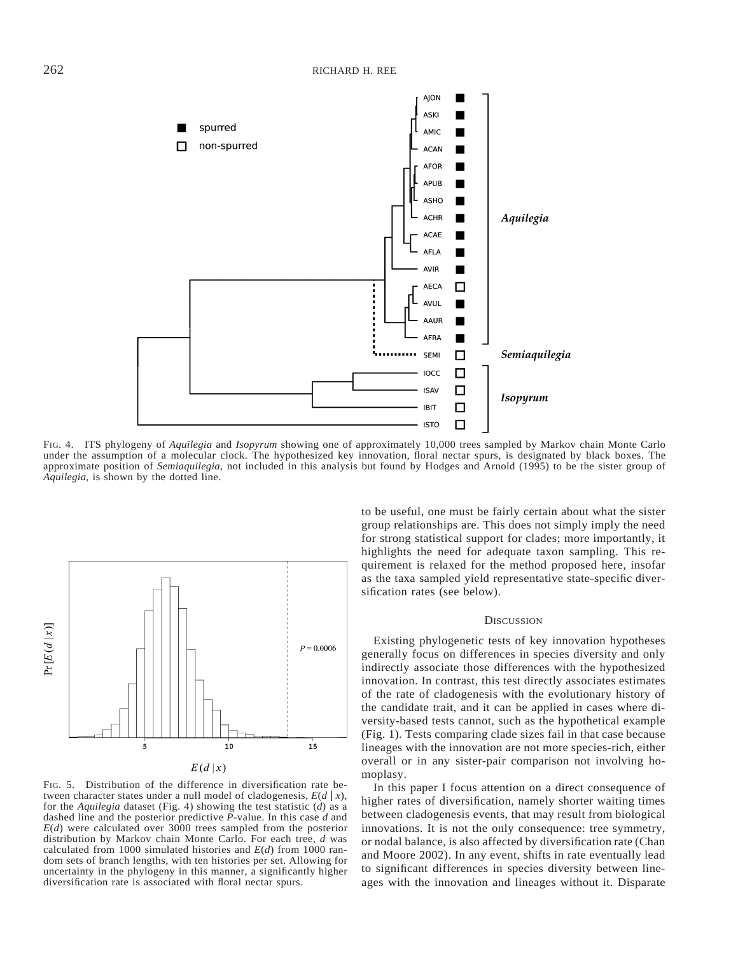

FIG. 4. ITS phylogeny of *Aquilegia* and *Isopyrum* showing one of approximately 10,000 trees sampled by Markov chain Monte Carlo under the assumption of a molecular clock. The hypothesized key innovation, floral nectar spurs, is designated by black boxes. The approximate position of *Semiaquilegia*, not included in this analysis but found by Hodges and Arnold (1995) to be the sister group of *Aquilegia*, is shown by the dotted line.



FIG. 5. Distribution of the difference in diversification rate between character states under a null model of cladogenesis,  $E(d | x)$ , for the *Aquilegia* dataset (Fig. 4) showing the test statistic (*d*) as a dashed line and the posterior predictive *P*-value. In this case *d* and *E*(*d*) were calculated over 3000 trees sampled from the posterior distribution by Markov chain Monte Carlo. For each tree, *d* was calculated from 1000 simulated histories and *E*(*d*) from 1000 random sets of branch lengths, with ten histories per set. Allowing for uncertainty in the phylogeny in this manner, a significantly higher diversification rate is associated with floral nectar spurs.

to be useful, one must be fairly certain about what the sister group relationships are. This does not simply imply the need for strong statistical support for clades; more importantly, it highlights the need for adequate taxon sampling. This requirement is relaxed for the method proposed here, insofar as the taxa sampled yield representative state-specific diversification rates (see below).

#### **DISCUSSION**

Existing phylogenetic tests of key innovation hypotheses generally focus on differences in species diversity and only indirectly associate those differences with the hypothesized innovation. In contrast, this test directly associates estimates of the rate of cladogenesis with the evolutionary history of the candidate trait, and it can be applied in cases where diversity-based tests cannot, such as the hypothetical example (Fig. 1). Tests comparing clade sizes fail in that case because lineages with the innovation are not more species-rich, either overall or in any sister-pair comparison not involving homoplasy.

In this paper I focus attention on a direct consequence of higher rates of diversification, namely shorter waiting times between cladogenesis events, that may result from biological innovations. It is not the only consequence: tree symmetry, or nodal balance, is also affected by diversification rate (Chan and Moore 2002). In any event, shifts in rate eventually lead to significant differences in species diversity between lineages with the innovation and lineages without it. Disparate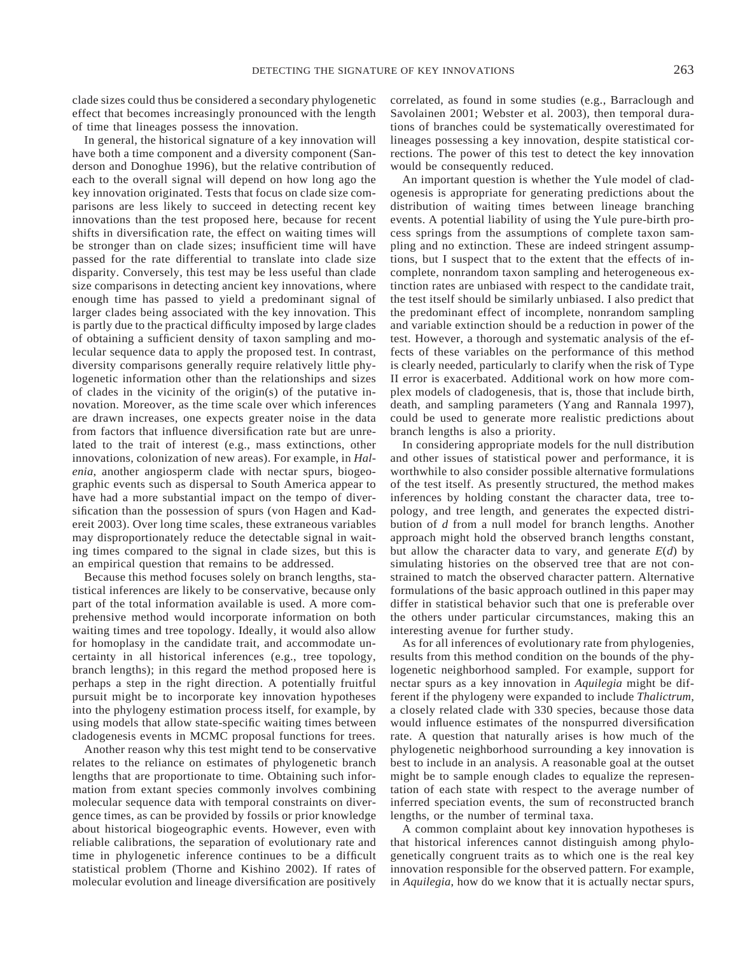clade sizes could thus be considered a secondary phylogenetic effect that becomes increasingly pronounced with the length of time that lineages possess the innovation.

In general, the historical signature of a key innovation will have both a time component and a diversity component (Sanderson and Donoghue 1996), but the relative contribution of each to the overall signal will depend on how long ago the key innovation originated. Tests that focus on clade size comparisons are less likely to succeed in detecting recent key innovations than the test proposed here, because for recent shifts in diversification rate, the effect on waiting times will be stronger than on clade sizes; insufficient time will have passed for the rate differential to translate into clade size disparity. Conversely, this test may be less useful than clade size comparisons in detecting ancient key innovations, where enough time has passed to yield a predominant signal of larger clades being associated with the key innovation. This is partly due to the practical difficulty imposed by large clades of obtaining a sufficient density of taxon sampling and molecular sequence data to apply the proposed test. In contrast, diversity comparisons generally require relatively little phylogenetic information other than the relationships and sizes of clades in the vicinity of the origin(s) of the putative innovation. Moreover, as the time scale over which inferences are drawn increases, one expects greater noise in the data from factors that influence diversification rate but are unrelated to the trait of interest (e.g., mass extinctions, other innovations, colonization of new areas). For example, in *Halenia*, another angiosperm clade with nectar spurs, biogeographic events such as dispersal to South America appear to have had a more substantial impact on the tempo of diversification than the possession of spurs (von Hagen and Kadereit 2003). Over long time scales, these extraneous variables may disproportionately reduce the detectable signal in waiting times compared to the signal in clade sizes, but this is an empirical question that remains to be addressed.

Because this method focuses solely on branch lengths, statistical inferences are likely to be conservative, because only part of the total information available is used. A more comprehensive method would incorporate information on both waiting times and tree topology. Ideally, it would also allow for homoplasy in the candidate trait, and accommodate uncertainty in all historical inferences (e.g., tree topology, branch lengths); in this regard the method proposed here is perhaps a step in the right direction. A potentially fruitful pursuit might be to incorporate key innovation hypotheses into the phylogeny estimation process itself, for example, by using models that allow state-specific waiting times between cladogenesis events in MCMC proposal functions for trees.

Another reason why this test might tend to be conservative relates to the reliance on estimates of phylogenetic branch lengths that are proportionate to time. Obtaining such information from extant species commonly involves combining molecular sequence data with temporal constraints on divergence times, as can be provided by fossils or prior knowledge about historical biogeographic events. However, even with reliable calibrations, the separation of evolutionary rate and time in phylogenetic inference continues to be a difficult statistical problem (Thorne and Kishino 2002). If rates of molecular evolution and lineage diversification are positively

correlated, as found in some studies (e.g., Barraclough and Savolainen 2001; Webster et al. 2003), then temporal durations of branches could be systematically overestimated for lineages possessing a key innovation, despite statistical corrections. The power of this test to detect the key innovation would be consequently reduced.

An important question is whether the Yule model of cladogenesis is appropriate for generating predictions about the distribution of waiting times between lineage branching events. A potential liability of using the Yule pure-birth process springs from the assumptions of complete taxon sampling and no extinction. These are indeed stringent assumptions, but I suspect that to the extent that the effects of incomplete, nonrandom taxon sampling and heterogeneous extinction rates are unbiased with respect to the candidate trait, the test itself should be similarly unbiased. I also predict that the predominant effect of incomplete, nonrandom sampling and variable extinction should be a reduction in power of the test. However, a thorough and systematic analysis of the effects of these variables on the performance of this method is clearly needed, particularly to clarify when the risk of Type II error is exacerbated. Additional work on how more complex models of cladogenesis, that is, those that include birth, death, and sampling parameters (Yang and Rannala 1997), could be used to generate more realistic predictions about branch lengths is also a priority.

In considering appropriate models for the null distribution and other issues of statistical power and performance, it is worthwhile to also consider possible alternative formulations of the test itself. As presently structured, the method makes inferences by holding constant the character data, tree topology, and tree length, and generates the expected distribution of *d* from a null model for branch lengths. Another approach might hold the observed branch lengths constant, but allow the character data to vary, and generate  $E(d)$  by simulating histories on the observed tree that are not constrained to match the observed character pattern. Alternative formulations of the basic approach outlined in this paper may differ in statistical behavior such that one is preferable over the others under particular circumstances, making this an interesting avenue for further study.

As for all inferences of evolutionary rate from phylogenies, results from this method condition on the bounds of the phylogenetic neighborhood sampled. For example, support for nectar spurs as a key innovation in *Aquilegia* might be different if the phylogeny were expanded to include *Thalictrum*, a closely related clade with 330 species, because those data would influence estimates of the nonspurred diversification rate. A question that naturally arises is how much of the phylogenetic neighborhood surrounding a key innovation is best to include in an analysis. A reasonable goal at the outset might be to sample enough clades to equalize the representation of each state with respect to the average number of inferred speciation events, the sum of reconstructed branch lengths, or the number of terminal taxa.

A common complaint about key innovation hypotheses is that historical inferences cannot distinguish among phylogenetically congruent traits as to which one is the real key innovation responsible for the observed pattern. For example, in *Aquilegia*, how do we know that it is actually nectar spurs,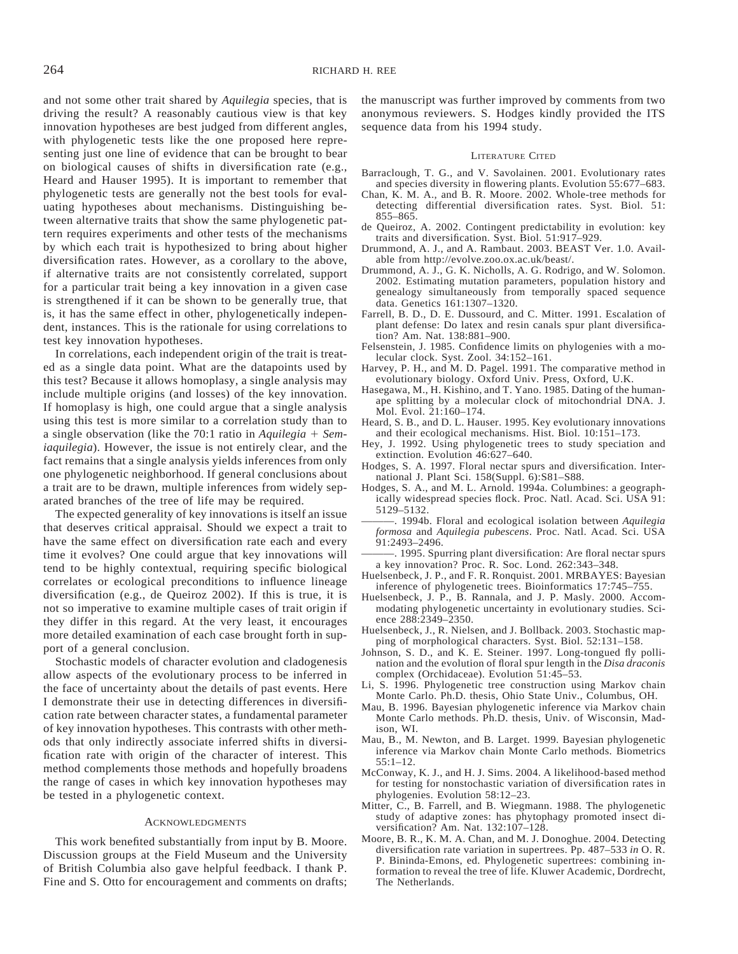and not some other trait shared by *Aquilegia* species, that is driving the result? A reasonably cautious view is that key innovation hypotheses are best judged from different angles, with phylogenetic tests like the one proposed here representing just one line of evidence that can be brought to bear on biological causes of shifts in diversification rate (e.g., Heard and Hauser 1995). It is important to remember that phylogenetic tests are generally not the best tools for evaluating hypotheses about mechanisms. Distinguishing between alternative traits that show the same phylogenetic pattern requires experiments and other tests of the mechanisms by which each trait is hypothesized to bring about higher diversification rates. However, as a corollary to the above, if alternative traits are not consistently correlated, support for a particular trait being a key innovation in a given case is strengthened if it can be shown to be generally true, that is, it has the same effect in other, phylogenetically independent, instances. This is the rationale for using correlations to test key innovation hypotheses.

In correlations, each independent origin of the trait is treated as a single data point. What are the datapoints used by this test? Because it allows homoplasy, a single analysis may include multiple origins (and losses) of the key innovation. If homoplasy is high, one could argue that a single analysis using this test is more similar to a correlation study than to a single observation (like the 70:1 ratio in *Aquilegia* + *Semiaquilegia*). However, the issue is not entirely clear, and the fact remains that a single analysis yields inferences from only one phylogenetic neighborhood. If general conclusions about a trait are to be drawn, multiple inferences from widely separated branches of the tree of life may be required.

The expected generality of key innovations is itself an issue that deserves critical appraisal. Should we expect a trait to have the same effect on diversification rate each and every time it evolves? One could argue that key innovations will tend to be highly contextual, requiring specific biological correlates or ecological preconditions to influence lineage diversification (e.g., de Queiroz 2002). If this is true, it is not so imperative to examine multiple cases of trait origin if they differ in this regard. At the very least, it encourages more detailed examination of each case brought forth in support of a general conclusion.

Stochastic models of character evolution and cladogenesis allow aspects of the evolutionary process to be inferred in the face of uncertainty about the details of past events. Here I demonstrate their use in detecting differences in diversification rate between character states, a fundamental parameter of key innovation hypotheses. This contrasts with other methods that only indirectly associate inferred shifts in diversification rate with origin of the character of interest. This method complements those methods and hopefully broadens the range of cases in which key innovation hypotheses may be tested in a phylogenetic context.

## **ACKNOWLEDGMENTS**

This work benefited substantially from input by B. Moore. Discussion groups at the Field Museum and the University of British Columbia also gave helpful feedback. I thank P. Fine and S. Otto for encouragement and comments on drafts; the manuscript was further improved by comments from two anonymous reviewers. S. Hodges kindly provided the ITS sequence data from his 1994 study.

#### LITERATURE CITED

- Barraclough, T. G., and V. Savolainen. 2001. Evolutionary rates and species diversity in flowering plants. Evolution 55:677–683.
- Chan, K. M. A., and B. R. Moore. 2002. Whole-tree methods for detecting differential diversification rates. Syst. Biol. 51: 855–865.
- de Queiroz, A. 2002. Contingent predictability in evolution: key traits and diversification. Syst. Biol. 51:917–929.
- Drummond, A. J., and A. Rambaut. 2003. BEAST Ver. 1.0. Available from http://evolve.zoo.ox.ac.uk/beast/.
- Drummond, A. J., G. K. Nicholls, A. G. Rodrigo, and W. Solomon. 2002. Estimating mutation parameters, population history and genealogy simultaneously from temporally spaced sequence data. Genetics 161:1307–1320.
- Farrell, B. D., D. E. Dussourd, and C. Mitter. 1991. Escalation of plant defense: Do latex and resin canals spur plant diversification? Am. Nat. 138:881–900.
- Felsenstein, J. 1985. Confidence limits on phylogenies with a molecular clock. Syst. Zool. 34:152–161.
- Harvey, P. H., and M. D. Pagel. 1991. The comparative method in evolutionary biology. Oxford Univ. Press, Oxford, U.K.
- Hasegawa, M., H. Kishino, and T. Yano. 1985. Dating of the humanape splitting by a molecular clock of mitochondrial DNA. J. Mol. Evol. 21:160–174.
- Heard, S. B., and D. L. Hauser. 1995. Key evolutionary innovations and their ecological mechanisms. Hist. Biol. 10:151–173.
- Hey, J. 1992. Using phylogenetic trees to study speciation and extinction. Evolution 46:627–640.
- Hodges, S. A. 1997. Floral nectar spurs and diversification. International J. Plant Sci. 158(Suppl. 6):S81–S88.
- Hodges, S. A., and M. L. Arnold. 1994a. Columbines: a geographically widespread species flock. Proc. Natl. Acad. Sci. USA 91: 5129–5132.
- ———. 1994b. Floral and ecological isolation between *Aquilegia formosa* and *Aquilegia pubescens*. Proc. Natl. Acad. Sci. USA 91:2493–2496.
- . 1995. Spurring plant diversification: Are floral nectar spurs a key innovation? Proc. R. Soc. Lond. 262:343–348.
- Huelsenbeck, J. P., and F. R. Ronquist. 2001. MRBAYES: Bayesian inference of phylogenetic trees. Bioinformatics 17:745–755.
- Huelsenbeck, J. P., B. Rannala, and J. P. Masly. 2000. Accommodating phylogenetic uncertainty in evolutionary studies. Science 288:2349–2350.
- Huelsenbeck, J., R. Nielsen, and J. Bollback. 2003. Stochastic mapping of morphological characters. Syst. Biol. 52:131–158.
- Johnson, S. D., and K. E. Steiner. 1997. Long-tongued fly pollination and the evolution of floral spur length in the *Disa draconis* complex (Orchidaceae). Evolution 51:45–53.
- Li, S. 1996. Phylogenetic tree construction using Markov chain Monte Carlo. Ph.D. thesis, Ohio State Univ., Columbus, OH.
- Mau, B. 1996. Bayesian phylogenetic inference via Markov chain Monte Carlo methods. Ph.D. thesis, Univ. of Wisconsin, Madison, WI.
- Mau, B., M. Newton, and B. Larget. 1999. Bayesian phylogenetic inference via Markov chain Monte Carlo methods. Biometrics 55:1–12.
- McConway, K. J., and H. J. Sims. 2004. A likelihood-based method for testing for nonstochastic variation of diversification rates in phylogenies. Evolution 58:12–23.
- Mitter, C., B. Farrell, and B. Wiegmann. 1988. The phylogenetic study of adaptive zones: has phytophagy promoted insect diversification? Am. Nat. 132:107–128.
- Moore, B. R., K. M. A. Chan, and M. J. Donoghue. 2004. Detecting diversification rate variation in supertrees. Pp. 487–533 *in* O. R. P. Bininda-Emons, ed. Phylogenetic supertrees: combining information to reveal the tree of life. Kluwer Academic, Dordrecht, The Netherlands.